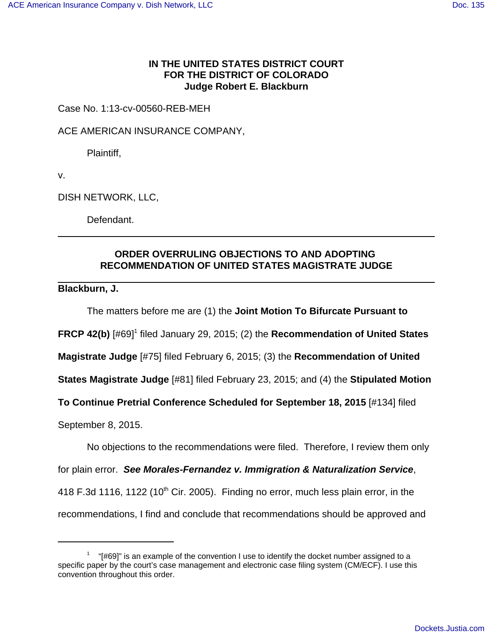## **IN THE UNITED STATES DISTRICT COURT FOR THE DISTRICT OF COLORADO Judge Robert E. Blackburn**

Case No. 1:13-cv-00560-REB-MEH

ACE AMERICAN INSURANCE COMPANY,

Plaintiff,

v.

DISH NETWORK, LLC,

Defendant.

## **ORDER OVERRULING OBJECTIONS TO AND ADOPTING RECOMMENDATION OF UNITED STATES MAGISTRATE JUDGE**

**Blackburn, J.**

The matters before me are (1) the **Joint Motion To Bifurcate Pursuant to**

FRCP 42(b) [#69]<sup>1</sup> filed January 29, 2015; (2) the Recommendation of United States

**Magistrate Judge** [#75] filed February 6, 2015; (3) the **Recommendation of United**

**States Magistrate Judge** [#81] filed February 23, 2015; and (4) the **Stipulated Motion**

**To Continue Pretrial Conference Scheduled for September 18, 2015** [#134] filed

September 8, 2015.

No objections to the recommendations were filed. Therefore, I review them only

for plain error. **See Morales-Fernandez v. Immigration & Naturalization Service**,

418 F.3d 1116, 1122 (10<sup>th</sup> Cir. 2005). Finding no error, much less plain error, in the

recommendations, I find and conclude that recommendations should be approved and

 $1$  "[#69]" is an example of the convention I use to identify the docket number assigned to a specific paper by the court's case management and electronic case filing system (CM/ECF). I use this convention throughout this order.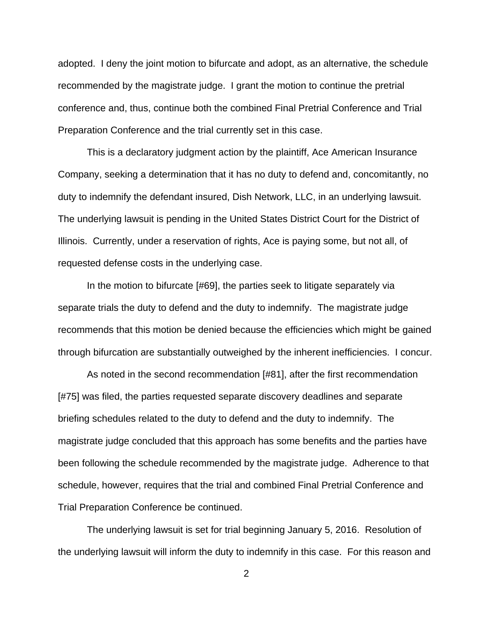adopted. I deny the joint motion to bifurcate and adopt, as an alternative, the schedule recommended by the magistrate judge. I grant the motion to continue the pretrial conference and, thus, continue both the combined Final Pretrial Conference and Trial Preparation Conference and the trial currently set in this case.

This is a declaratory judgment action by the plaintiff, Ace American Insurance Company, seeking a determination that it has no duty to defend and, concomitantly, no duty to indemnify the defendant insured, Dish Network, LLC, in an underlying lawsuit. The underlying lawsuit is pending in the United States District Court for the District of Illinois. Currently, under a reservation of rights, Ace is paying some, but not all, of requested defense costs in the underlying case.

In the motion to bifurcate [#69], the parties seek to litigate separately via separate trials the duty to defend and the duty to indemnify. The magistrate judge recommends that this motion be denied because the efficiencies which might be gained through bifurcation are substantially outweighed by the inherent inefficiencies. I concur.

As noted in the second recommendation [#81], after the first recommendation [#75] was filed, the parties requested separate discovery deadlines and separate briefing schedules related to the duty to defend and the duty to indemnify. The magistrate judge concluded that this approach has some benefits and the parties have been following the schedule recommended by the magistrate judge. Adherence to that schedule, however, requires that the trial and combined Final Pretrial Conference and Trial Preparation Conference be continued.

The underlying lawsuit is set for trial beginning January 5, 2016. Resolution of the underlying lawsuit will inform the duty to indemnify in this case. For this reason and

2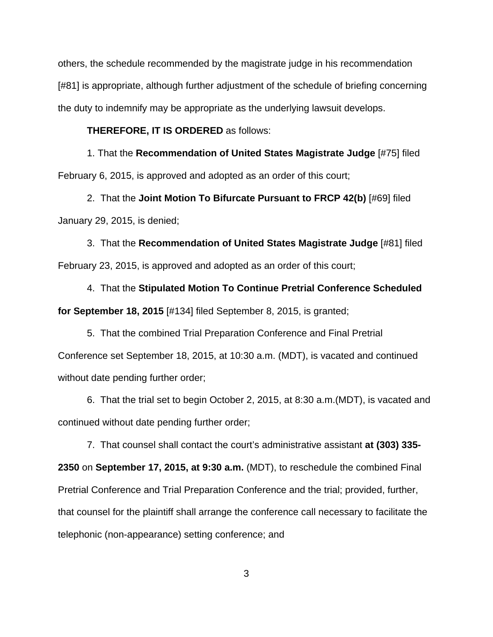others, the schedule recommended by the magistrate judge in his recommendation [#81] is appropriate, although further adjustment of the schedule of briefing concerning the duty to indemnify may be appropriate as the underlying lawsuit develops.

## **THEREFORE, IT IS ORDERED** as follows:

1. That the **Recommendation of United States Magistrate Judge** [#75] filed February 6, 2015, is approved and adopted as an order of this court;

2. That the **Joint Motion To Bifurcate Pursuant to FRCP 42(b)** [#69] filed January 29, 2015, is denied;

3. That the **Recommendation of United States Magistrate Judge** [#81] filed February 23, 2015, is approved and adopted as an order of this court;

4. That the **Stipulated Motion To Continue Pretrial Conference Scheduled for September 18, 2015** [#134] filed September 8, 2015, is granted;

5. That the combined Trial Preparation Conference and Final Pretrial Conference set September 18, 2015, at 10:30 a.m. (MDT), is vacated and continued without date pending further order;

6. That the trial set to begin October 2, 2015, at 8:30 a.m.(MDT), is vacated and continued without date pending further order;

7. That counsel shall contact the court's administrative assistant **at (303) 335- 2350** on **September 17, 2015, at 9:30 a.m.** (MDT), to reschedule the combined Final Pretrial Conference and Trial Preparation Conference and the trial; provided, further, that counsel for the plaintiff shall arrange the conference call necessary to facilitate the telephonic (non-appearance) setting conference; and

3